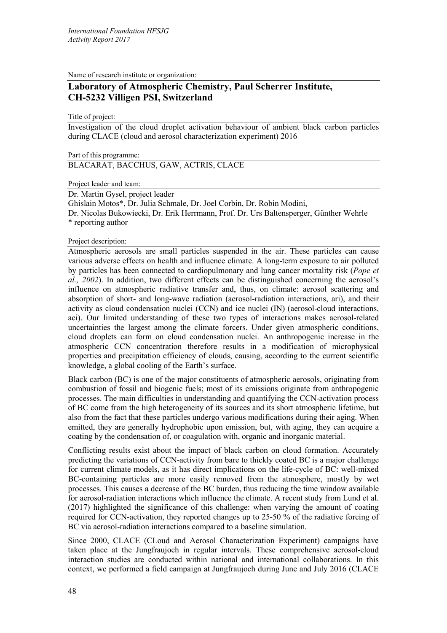Name of research institute or organization:

## **Laboratory of Atmospheric Chemistry, Paul Scherrer Institute, CH-5232 Villigen PSI, Switzerland**

Title of project:

Investigation of the cloud droplet activation behaviour of ambient black carbon particles during CLACE (cloud and aerosol characterization experiment) 2016

Part of this programme:

BLACARAT, BACCHUS, GAW, ACTRIS, CLACE

Project leader and team:

Dr. Martin Gysel, project leader

Ghislain Motos\*, Dr. Julia Schmale, Dr. Joel Corbin, Dr. Robin Modini,

Dr. Nicolas Bukowiecki, Dr. Erik Herrmann, Prof. Dr. Urs Baltensperger, Günther Wehrle \* reporting author

Project description:

Atmospheric aerosols are small particles suspended in the air. These particles can cause various adverse effects on health and influence climate. A long-term exposure to air polluted by particles has been connected to cardiopulmonary and lung cancer mortality risk (*Pope et al., 2002*). In addition, two different effects can be distinguished concerning the aerosol's influence on atmospheric radiative transfer and, thus, on climate: aerosol scattering and absorption of short- and long-wave radiation (aerosol-radiation interactions, ari), and their activity as cloud condensation nuclei (CCN) and ice nuclei (IN) (aerosol-cloud interactions, aci). Our limited understanding of these two types of interactions makes aerosol-related uncertainties the largest among the climate forcers. Under given atmospheric conditions, cloud droplets can form on cloud condensation nuclei. An anthropogenic increase in the atmospheric CCN concentration therefore results in a modification of microphysical properties and precipitation efficiency of clouds, causing, according to the current scientific knowledge, a global cooling of the Earth's surface.

Black carbon (BC) is one of the major constituents of atmospheric aerosols, originating from combustion of fossil and biogenic fuels; most of its emissions originate from anthropogenic processes. The main difficulties in understanding and quantifying the CCN-activation process of BC come from the high heterogeneity of its sources and its short atmospheric lifetime, but also from the fact that these particles undergo various modifications during their aging. When emitted, they are generally hydrophobic upon emission, but, with aging, they can acquire a coating by the condensation of, or coagulation with, organic and inorganic material.

Conflicting results exist about the impact of black carbon on cloud formation. Accurately predicting the variations of CCN-activity from bare to thickly coated BC is a major challenge for current climate models, as it has direct implications on the life-cycle of BC: well-mixed BC-containing particles are more easily removed from the atmosphere, mostly by wet processes. This causes a decrease of the BC burden, thus reducing the time window available for aerosol-radiation interactions which influence the climate. A recent study from Lund et al. (2017) highlighted the significance of this challenge: when varying the amount of coating required for CCN-activation, they reported changes up to 25-50 % of the radiative forcing of BC via aerosol-radiation interactions compared to a baseline simulation.

Since 2000, CLACE (CLoud and Aerosol Characterization Experiment) campaigns have taken place at the Jungfraujoch in regular intervals. These comprehensive aerosol-cloud interaction studies are conducted within national and international collaborations. In this context, we performed a field campaign at Jungfraujoch during June and July 2016 (CLACE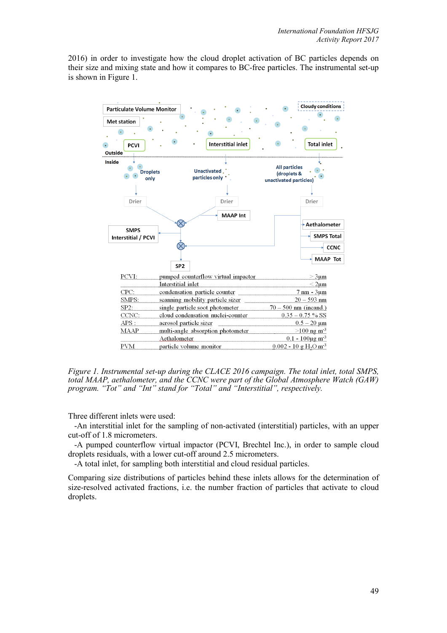2016) in order to investigate how the cloud droplet activation of BC particles depends on their size and mixing state and how it compares to BC-free particles. The instrumental set-up is shown in Figure 1.



*Figure 1. Instrumental set-up during the CLACE 2016 campaign. The total inlet, total SMPS, total MAAP, aethalometer, and the CCNC were part of the Global Atmosphere Watch (GAW) program. "Tot" and "Int" stand for "Total" and "Interstitial", respectively.*

Three different inlets were used:

 -An interstitial inlet for the sampling of non-activated (interstitial) particles, with an upper cut-off of 1.8 micrometers.

 -A pumped counterflow virtual impactor (PCVI, Brechtel Inc.), in order to sample cloud droplets residuals, with a lower cut-off around 2.5 micrometers.

-A total inlet, for sampling both interstitial and cloud residual particles.

Comparing size distributions of particles behind these inlets allows for the determination of size-resolved activated fractions, i.e. the number fraction of particles that activate to cloud droplets.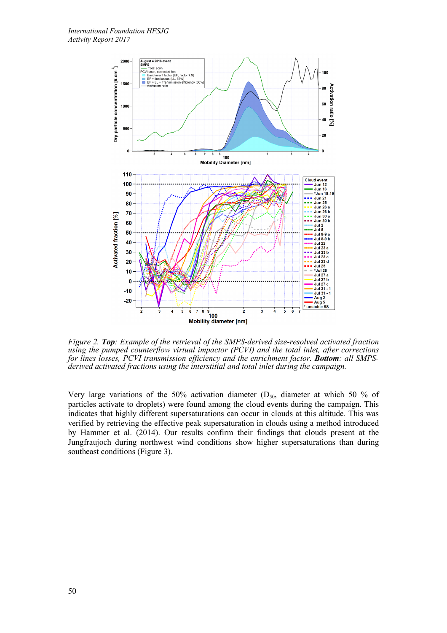

*Figure 2. Top: Example of the retrieval of the SMPS-derived size-resolved activated fraction using the pumped counterflow virtual impactor (PCVI) and the total inlet, after corrections for lines losses, PCVI transmission efficiency and the enrichment factor. Bottom: all SMPSderived activated fractions using the interstitial and total inlet during the campaign.* 

Very large variations of the 50% activation diameter ( $D_{50}$ , diameter at which 50 % of particles activate to droplets) were found among the cloud events during the campaign. This indicates that highly different supersaturations can occur in clouds at this altitude. This was verified by retrieving the effective peak supersaturation in clouds using a method introduced by Hammer et al. (2014). Our results confirm their findings that clouds present at the Jungfraujoch during northwest wind conditions show higher supersaturations than during southeast conditions (Figure 3).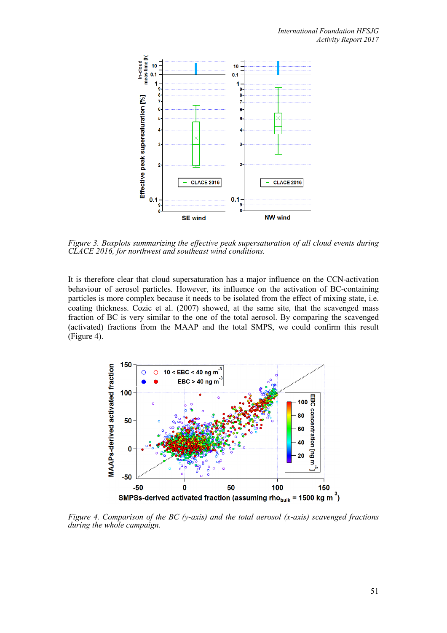

*Figure 3. Boxplots summarizing the effective peak supersaturation of all cloud events during CLACE 2016, for northwest and southeast wind conditions.*

It is therefore clear that cloud supersaturation has a major influence on the CCN-activation behaviour of aerosol particles. However, its influence on the activation of BC-containing particles is more complex because it needs to be isolated from the effect of mixing state, i.e. coating thickness. Cozic et al. (2007) showed, at the same site, that the scavenged mass fraction of BC is very similar to the one of the total aerosol. By comparing the scavenged (activated) fractions from the MAAP and the total SMPS, we could confirm this result (Figure 4).



*Figure 4. Comparison of the BC (y-axis) and the total aerosol (x-axis) scavenged fractions during the whole campaign.*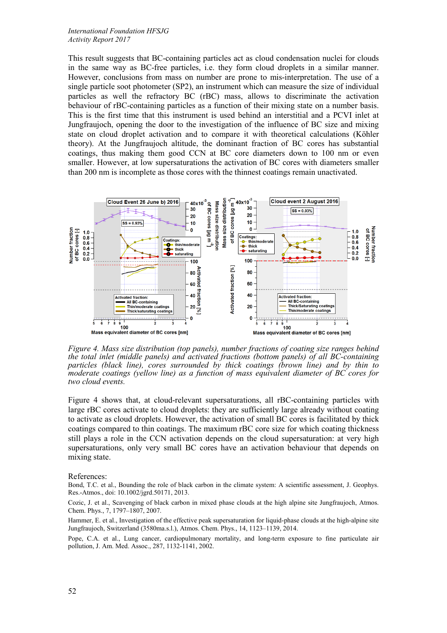This result suggests that BC-containing particles act as cloud condensation nuclei for clouds in the same way as BC-free particles, i.e. they form cloud droplets in a similar manner. However, conclusions from mass on number are prone to mis-interpretation. The use of a single particle soot photometer (SP2), an instrument which can measure the size of individual particles as well the refractory BC (rBC) mass, allows to discriminate the activation behaviour of rBC-containing particles as a function of their mixing state on a number basis. This is the first time that this instrument is used behind an interstitial and a PCVI inlet at Jungfraujoch, opening the door to the investigation of the influence of BC size and mixing state on cloud droplet activation and to compare it with theoretical calculations (Köhler theory). At the Jungfraujoch altitude, the dominant fraction of BC cores has substantial coatings, thus making them good CCN at BC core diameters down to 100 nm or even smaller. However, at low supersaturations the activation of BC cores with diameters smaller than 200 nm is incomplete as those cores with the thinnest coatings remain unactivated.



*Figure 4. Mass size distribution (top panels), number fractions of coating size ranges behind the total inlet (middle panels) and activated fractions (bottom panels) of all BC-containing particles (black line), cores surrounded by thick coatings (brown line) and by thin to moderate coatings (yellow line) as a function of mass equivalent diameter of BC cores for two cloud events.*

Figure 4 shows that, at cloud-relevant supersaturations, all rBC-containing particles with large rBC cores activate to cloud droplets: they are sufficiently large already without coating to activate as cloud droplets. However, the activation of small BC cores is facilitated by thick coatings compared to thin coatings. The maximum rBC core size for which coating thickness still plays a role in the CCN activation depends on the cloud supersaturation: at very high supersaturations, only very small BC cores have an activation behaviour that depends on mixing state.

References:

Bond, T.C. et al., Bounding the role of black carbon in the climate system: A scientific assessment, J. Geophys. Res.-Atmos., doi: 10.1002/jgrd.50171, 2013.

Cozic, J. et al., Scavenging of black carbon in mixed phase clouds at the high alpine site Jungfraujoch, Atmos. Chem. Phys., 7, 1797–1807, 2007.

Hammer, E. et al., Investigation of the effective peak supersaturation for liquid-phase clouds at the high-alpine site Jungfraujoch, Switzerland (3580ma.s.l.), Atmos. Chem. Phys., 14, 1123–1139, 2014.

Pope, C.A. et al., Lung cancer, cardiopulmonary mortality, and long-term exposure to fine particulate air pollution, J. Am. Med. Assoc., 287, 1132-1141, 2002.